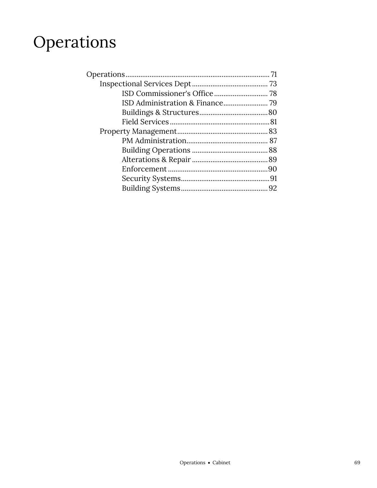# Operations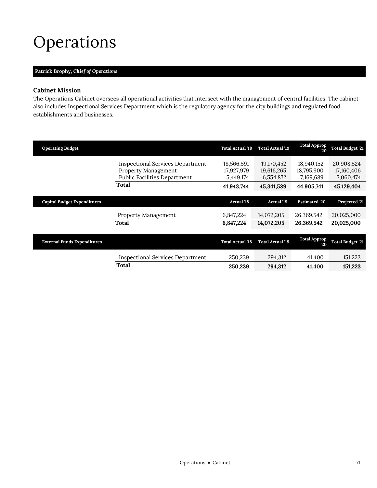## <span id="page-2-0"></span>Operations

## **Patrick Brophy,** *Chief of Operations*

## **Cabinet Mission**

The Operations Cabinet oversees all operational activities that intersect with the management of central facilities. The cabinet also includes Inspectional Services Department which is the regulatory agency for the city buildings and regulated food establishments and businesses.

| <b>Operating Budget</b>            |                                                                                                                | <b>Total Actual '18</b>                             | <b>Total Actual '19</b>                             | <b>Total Approp</b><br>20                           | <b>Total Budget '21</b>                             |
|------------------------------------|----------------------------------------------------------------------------------------------------------------|-----------------------------------------------------|-----------------------------------------------------|-----------------------------------------------------|-----------------------------------------------------|
|                                    | <b>Inspectional Services Department</b><br>Property Management<br><b>Public Facilities Department</b><br>Total | 18,566,591<br>17,927,979<br>5,449,174<br>41,943,744 | 19,170,452<br>19,616,265<br>6,554,872<br>45,341,589 | 18,940,152<br>18,795,900<br>7,169,689<br>44,905,741 | 20,908,524<br>17,160,406<br>7,060,474<br>45,129,404 |
| <b>Capital Budget Expenditures</b> |                                                                                                                | <b>Actual '18</b>                                   | <b>Actual '19</b>                                   | <b>Estimated '20</b>                                | Projected '21                                       |
|                                    | Property Management                                                                                            | 6,847,224                                           | 14,072,205                                          | 26,369,542                                          | 20,025,000                                          |
|                                    | Total                                                                                                          | 6,847,224                                           | 14,072,205                                          | 26,369,542                                          | 20,025,000                                          |
| <b>External Funds Expenditures</b> |                                                                                                                | <b>Total Actual '18</b>                             | <b>Total Actual '19</b>                             | <b>Total Approp</b><br>20                           | <b>Total Budget '21</b>                             |
|                                    | <b>Inspectional Services Department</b>                                                                        | 250,239                                             | 294,312                                             | 41,400                                              | 151,223                                             |
|                                    | Total                                                                                                          | 250,239                                             | 294,312                                             | 41,400                                              | 151,223                                             |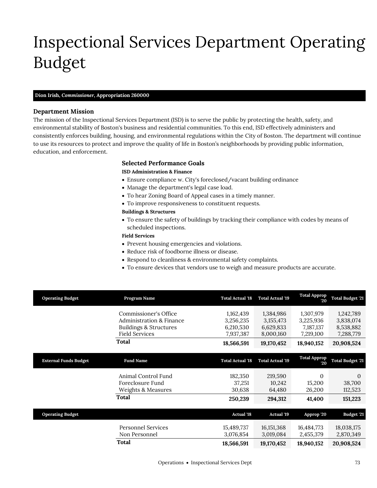# <span id="page-4-0"></span>Inspectional Services Department Operating Budget

### **Dion Irish,** *Commissioner,* **Appropriation 260000**

### **Department Mission**

Inspectional Services Dept

The mission of the Inspectional Services Department (ISD) is to serve the public by protecting the health, safety, and environmental stability of Boston's business and residential communities. To this end, ISD effectively administers and consistently enforces building, housing, and environmental regulations within the City of Boston. The department will continue to use its resources to protect and improve the quality of life in Boston's neighborhoods by providing public information, education, and enforcement.

## **Selected Performance Goals**

## **ISD Administration & Finance**

- Ensure compliance w. City's foreclosed/vacant building ordinance
- Manage the department's legal case load.
- To hear Zoning Board of Appeal cases in a timely manner.
- To improve responsiveness to constituent requests.

### **Buildings & Structures**

 To ensure the safety of buildings by tracking their compliance with codes by means of scheduled inspections.

### **Field Services**

- Prevent housing emergencies and violations.
- Reduce risk of foodborne illness or disease.
- Respond to cleanliness & environmental safety complaints.
- To ensure devices that vendors use to weigh and measure products are accurate.

| <b>Operating Budget</b>      | Program Name                      | <b>Total Actual '18</b> | <b>Total Actual '19</b>   | <b>Total Approp</b><br>20 | <b>Total Budget '21</b> |
|------------------------------|-----------------------------------|-------------------------|---------------------------|---------------------------|-------------------------|
|                              | Commissioner's Office             | 1,162,439               | 1,384,986                 | 1,307,979                 | 1,242,789               |
|                              | Administration & Finance          | 3,256,235               | 3, 155, 473               | 3,225,936                 | 3,838,074               |
|                              | <b>Buildings &amp; Structures</b> | 6,210,530               | 6,629,833                 | 7,187,137                 | 8,538,882               |
|                              | <b>Field Services</b>             | 7,937,387               | 8,000,160                 | 7,219,100                 | 7,288,779               |
|                              | Total                             | 18,566,591              | 19,170,452                | 18,940,152                | 20,908,524              |
|                              |                                   |                         |                           |                           |                         |
| <b>External Funds Budget</b> | <b>Fund Name</b>                  | <b>Total Actual '18</b> | <b>Total Actual '19</b>   | <b>Total Approp</b><br>20 | <b>Total Budget '21</b> |
|                              | Animal Control Fund               | 182,350                 | 219,590                   | $\overline{0}$            | $\theta$                |
|                              | Foreclosure Fund                  | 37,251                  | 10,242                    | 15,200                    | 38,700                  |
|                              | Weights & Measures                | 30,638                  | 64,480                    | 26,200                    | 112,523                 |
|                              | <b>Total</b>                      | 250,239                 | 294,312                   | 41,400                    | 151,223                 |
|                              |                                   |                         |                           |                           |                         |
| <b>Operating Budget</b>      |                                   | <b>Actual '18</b>       | <b>Actual '19</b>         | Approp '20                | Budget '21              |
|                              | <b>Personnel Services</b>         |                         |                           |                           |                         |
|                              | Non Personnel                     | 15,489,737<br>3,076,854 | 16, 151, 368<br>3,019,084 | 16,484,773<br>2,455,379   | 18,038,175<br>2,870,349 |
|                              | Total                             | 18,566,591              | 19,170,452                | 18,940,152                | 20,908,524              |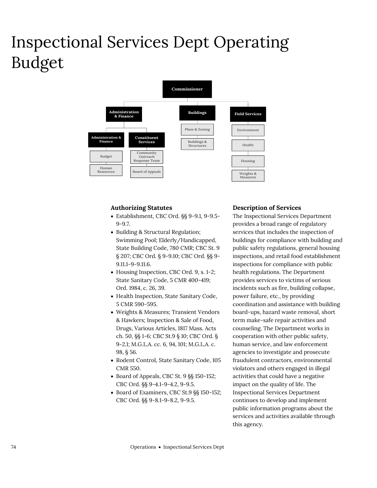# Inspectional Services Dept Operating Budget



### **Authorizing Statutes**

- Establishment, CBC Ord. §§ 9-9.1, 9-9.5- 9-9.7.
- Building & Structural Regulation; Swimming Pool; Elderly/Handicapped, State Building Code, 780 CMR; CBC St. 9 § 207; CBC Ord. § 9-9.10; CBC Ord. §§ 9- 9.11.1-9-9.11.6.
- Housing Inspection, CBC Ord. 9, s. 1-2; State Sanitary Code, 5 CMR 400-419; Ord. 1984, c. 26, 39.
- Health Inspection, State Sanitary Code, 5 CMR 590-595.
- Weights & Measures; Transient Vendors & Hawkers; Inspection & Sale of Food, Drugs, Various Articles, 1817 Mass. Acts ch. 50, §§ 1-6; CBC St.9 § 10; CBC Ord. § 9-2.1; M.G.L.A. cc. 6, 94, 101; M.G.L.A. c. 98, § 56.
- Rodent Control, State Sanitary Code, 105 CMR 550.
- Board of Appeals, CBC St. 9 §§ 150-152; CBC Ord. §§ 9-4.1-9-4.2, 9-9.5.
- Board of Examiners, CBC St.9 §§ 150-152; CBC Ord. §§ 9-8.1-9-8.2, 9-9.5.

### **Description of Services**

The Inspectional Services Department provides a broad range of regulatory services that includes the inspection of buildings for compliance with building and public safety regulations, general housing inspections, and retail food establishment inspections for compliance with public health regulations. The Department provides services to victims of serious incidents such as fire, building collapse, power failure, etc., by providing coordination and assistance with building board-ups, hazard waste removal, short term make-safe repair activities and counseling. The Department works in cooperation with other public safety, human service, and law enforcement agencies to investigate and prosecute fraudulent contractors, environmental violators and others engaged in illegal activities that could have a negative impact on the quality of life. The Inspectional Services Department continues to develop and implement public information programs about the services and activities available through this agency.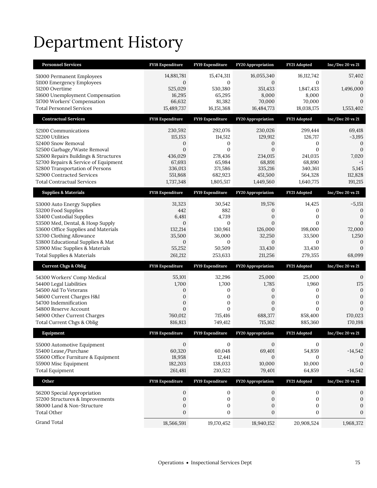# Department History

| <b>Personnel Services</b>                                                    | <b>FY18 Expenditure</b>        | FY19 Expenditure        | <b>FY20 Appropriation</b>      | FY21 Adopted        | Inc/Dec 20 vs 21               |
|------------------------------------------------------------------------------|--------------------------------|-------------------------|--------------------------------|---------------------|--------------------------------|
| 51000 Permanent Employees                                                    | 14,881,781                     | 15,474,311              | 16,055,340                     | 16,112,742          | 57,402                         |
| 51100 Emergency Employees                                                    | $\mathbf{0}$                   | $\Omega$                | $\mathbf{0}$                   | 0                   | $\Omega$                       |
| 51200 Overtime                                                               | 525,029                        | 530,380                 | 351,433                        | 1,847,433           | 1,496,000                      |
| 51600 Unemployment Compensation<br>51700 Workers' Compensation               | 16,295<br>66,632               | 65,295<br>81,382        | 8,000<br>70,000                | 8,000<br>70,000     | 0<br>$\mathbf{0}$              |
| <b>Total Personnel Services</b>                                              | 15,489,737                     | 16, 151, 368            | 16,484,773                     | 18,038,175          | 1,553,402                      |
| <b>Contractual Services</b>                                                  | FY18 Expenditure               | FY19 Expenditure        | FY20 Appropriation             | FY21 Adopted        | $Inc/Dec$ 20 vs $21$           |
| 52100 Communications                                                         | 230,592                        | 292,076                 | 230,026                        | 299,444             | 69,418                         |
| 52200 Utilities                                                              | 115,153                        | 114,512                 | 129,912                        | 126,717             | $-3,195$                       |
| 52400 Snow Removal                                                           | 0                              | 0                       | 0                              | 0                   | $\theta$                       |
| 52500 Garbage/Waste Removal                                                  | $\overline{0}$                 | $\overline{0}$          | $\overline{0}$                 | $\overline{0}$      | $\mathbf{0}$                   |
| 52600 Repairs Buildings & Structures<br>52700 Repairs & Service of Equipment | 436,029<br>67,693              | 278,436<br>65,984       | 234,015<br>68,891              | 241,035<br>68,890   | 7,020<br>$-1$                  |
| 52800 Transportation of Persons                                              | 336,013                        | 371,586                 | 335,216                        | 340,361             | 5,145                          |
| 52900 Contracted Services                                                    | 551,868                        | 682,923                 | 451,500                        | 564,328             | 112,828                        |
| <b>Total Contractual Services</b>                                            | 1,737,348                      | 1,805,517               | 1,449,560                      | 1,640,775           | 191,215                        |
| <b>Supplies &amp; Materials</b>                                              | FY18 Expenditure               | FY19 Expenditure        | <b>FY20 Appropriation</b>      | FY21 Adopted        | $Inc/Dec$ 20 vs 21             |
| 53000 Auto Energy Supplies                                                   | 31,323                         | 30,542                  | 19,576                         | 14,425              | $-5,151$                       |
| 53200 Food Supplies                                                          | 442                            | 882                     | 0                              | 0                   | $\mathbf{0}$                   |
| 53400 Custodial Supplies                                                     | 6,481                          | 4,739                   | $\boldsymbol{0}$               | $\boldsymbol{0}$    | $\boldsymbol{0}$               |
| 53500 Med, Dental, & Hosp Supply<br>53600 Office Supplies and Materials      | $\overline{0}$<br>132,214      | $\mathbf{0}$<br>130,961 | $\overline{0}$<br>126,000      | $\Omega$<br>198,000 | $\mathbf{0}$<br>72,000         |
| 53700 Clothing Allowance                                                     | 35,500                         | 36,000                  | 32,250                         | 33,500              | 1,250                          |
| 53800 Educational Supplies & Mat                                             | $\boldsymbol{0}$               | $\mathbf{0}$            | $\overline{0}$                 | 0                   | $\mathbf{0}$                   |
|                                                                              |                                |                         |                                |                     |                                |
| 53900 Misc Supplies & Materials                                              | 55,252                         | 50,509                  | 33,430                         | 33,430              | $\overline{0}$                 |
| <b>Total Supplies &amp; Materials</b>                                        | 261,212                        | 253,633                 | 211,256                        | 279,355             | 68,099                         |
| <b>Current Chgs &amp; Oblig</b>                                              | <b>FY18 Expenditure</b>        | FY19 Expenditure        | <b>FY20 Appropriation</b>      | FY21 Adopted        | Inc/Dec 20 vs 21               |
|                                                                              | 55,101                         | 32,296                  |                                | 25,000              | $\mathbf{0}$                   |
| 54300 Workers' Comp Medical<br>54400 Legal Liabilities                       | 1,700                          | 1,700                   | 25,000<br>1,785                | 1,960               | 175                            |
| 54500 Aid To Veterans                                                        | 0                              | 0                       | 0                              | 0                   | $\mathbf{0}$                   |
| 54600 Current Charges H&I                                                    | 0                              | 0                       | $\mathbf{0}$                   | 0                   | $\mathbf{0}$                   |
| 54700 Indemnification                                                        | 0<br>$\overline{0}$            | 0<br>$\mathbf{0}$       | 0<br>$\overline{0}$            | 0<br>$\overline{0}$ | $\overline{0}$<br>$\mathbf{0}$ |
| 54800 Reserve Account<br>54900 Other Current Charges                         | 760,012                        | 715,416                 | 688,377                        | 858,400             | 170,023                        |
| Total Current Chgs & Oblig                                                   | 816,813                        | 749,412                 | 715,162                        | 885,360             | 170,198                        |
| Equipment                                                                    | <b>FY18 Expenditure</b>        | FY19 Expenditure        | <b>FY20 Appropriation</b>      | <b>FY21 Adopted</b> | Inc/Dec 20 vs 21               |
|                                                                              | $\mathbf{0}$                   | $\mathbf 0$             | $\mathbf{0}$                   | 0                   | 0                              |
| 55000 Automotive Equipment<br>55400 Lease/Purchase                           | 60,320                         | 60,048                  | 69,401                         | 54,859              | $-14,542$                      |
| 55600 Office Furniture & Equipment                                           | 18,958                         | 12,441                  | $\mathbf{0}$                   | 0                   | $\mathbf{0}$                   |
| 55900 Misc Equipment                                                         | 182,203                        | 138,033                 | 10,000                         | 10,000              | $\mathbf{0}$                   |
| <b>Total Equipment</b>                                                       | 261,481                        | 210,522                 | 79,401                         | 64,859              | $-14,542$                      |
| Other                                                                        | FY18 Expenditure               | FY19 Expenditure        | FY20 Appropriation             | FY21 Adopted        | Inc/Dec 20 vs 21               |
| 56200 Special Appropriation                                                  | 0                              | $\mathbf 0$             | 0                              | $\boldsymbol{0}$    | 0                              |
| 57200 Structures & Improvements                                              | $\boldsymbol{0}$               | $\boldsymbol{0}$        | $\boldsymbol{0}$               | $\boldsymbol{0}$    | $\boldsymbol{0}$               |
| 58000 Land & Non-Structure                                                   | $\boldsymbol{0}$               | $\boldsymbol{0}$        | 0                              | $\boldsymbol{0}$    | $\boldsymbol{0}$               |
| <b>Total Other</b><br>Grand Total                                            | $\boldsymbol{0}$<br>18,566,591 | $\boldsymbol{0}$        | $\boldsymbol{0}$<br>18,940,152 | $\boldsymbol{0}$    | $\boldsymbol{0}$               |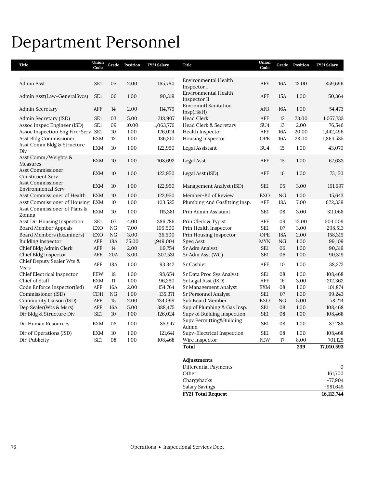# Department Personnel

| Title                                        | Union<br>Code   | Grade      | Position | FY21 Salary | <b>Title</b>                             | Union<br>Code   | Grade      | Position | FY21 Salary  |
|----------------------------------------------|-----------------|------------|----------|-------------|------------------------------------------|-----------------|------------|----------|--------------|
| Admin Asst                                   | SE1             | 05         | 2.00     | 165,760     | Environmental Health                     | AFF             | 16A        | 12.00    | 859,696      |
|                                              |                 |            |          |             | Inspector I                              |                 |            |          |              |
| Admin Asst(Law-GeneralSvcs)                  | SE1             | 06         | 1.00     | 90,319      | Environmental Health<br>Inspector II     | AFF             | 15A        | 1.00     | 50,364       |
| Admin Secretary                              | AFF             | 14         | 2.00     | 114,779     | <b>Envrnmntl Sanitation</b><br>Insp(H&H) | AFB             | 16A        | 1.00     | 54,473       |
| Admin Secretary (ISD)                        | SE <sub>1</sub> | 03         | 5.00     | 318,907     | <b>Head Clerk</b>                        | AFF             | 12         | 23.00    | 1,057,732    |
| Assoc Inspec Engineer (ISD)                  | SE1             | 09         | 10.00    | 1,063,776   | Head Clerk & Secretary                   | SU <sub>4</sub> | 13         | 2.00     | 76,546       |
| Assoc Inspection Eng Fire-Serv SE1           |                 | 10         | 1.00     | 126,024     | Health Inspector                         | AFF             | 16A        | 20.00    | 1,442,496    |
| Asst Bldg Commissioner                       | <b>EXM</b>      | 12         | 1.00     | 136,210     | Housing Inspector                        | OPE             | 16A        | 28.00    | 1,864,535    |
| Asst Comm Bldg & Structure<br>Div            | <b>EXM</b>      | 10         | 1.00     | 122,950     | Legal Assistant                          | SU <sub>4</sub> | 15         | 1.00     | 43,070       |
| Asst Comm/Weights &<br>Measures              | <b>EXM</b>      | 10         | 1.00     | 108,692     | Legal Asst                               | AFF             | 15         | 1.00     | 67,633       |
| Asst Commissioner<br><b>Constituent Serv</b> | <b>EXM</b>      | 10         | 1.00     | 122,950     | Legal Asst (ISD)                         | AFF             | 16         | 1.00     | 73,150       |
| Asst Commissioner<br>Environmental Serv      | <b>EXM</b>      | 10         | 1.00     | 122,950     | Management Analyst (ISD)                 | SE <sub>1</sub> | 05         | 3.00     | 191,697      |
| Asst Commissioner of Health                  | <b>EXM</b>      | 10         | 1.00     | 122,950     | Member-Bd of Review                      | <b>EXO</b>      | NG         | 1.00     | 15,643       |
| Asst Commissioner of Housing                 | <b>EXM</b>      | 10         | 1.00     | 103,525     | Plumbing And Gasfitting Insp.            | AFF             | 18A        | 7.00     | 622,339      |
| Asst Commissioner of Plans &<br>Zoning       | <b>EXM</b>      | 10         | 1.00     | 115,381     | Prin Admin Assistant                     | SE <sub>1</sub> | 08         | 3.00     | 311,068      |
| Asst Dir Housing Inspection                  | SE1             | 07         | 4.00     | 386,786     | Prin Clerk & Typist                      | AFF             | 09         | 13.00    | 504,009      |
| <b>Board Member Appeals</b>                  | EXO             | NG         | 7.00     | 109,500     | Prin Health Inspector                    | SE1             | 07         | 3.00     | 298,513      |
| Board Members (Examiners)                    | EXO             | NG         | 3.00     | 36,500      | Prin Housing Inspector                   | OPE             | 18A        | 2.00     | 158,319      |
| <b>Building Inspector</b>                    | AFF             | <b>18A</b> | 25.00    | 1,949,004   | Spec Asst                                | <b>MYN</b>      | NG         | $1.00\,$ | 99,109       |
| Chief Bldg Admin Clerk                       | AFF             | 14         | 2.00     | 119,754     | Sr Adm Analyst                           | SE1             | 06         | 1.00     | 90,319       |
| Chief Bldg Inspector                         | AFF             | 20A        | 3.00     | 307,531     | Sr Adm Asst (WC)                         | SE1             | 06         | 1.00     | 90,319       |
| Chief Deputy Sealer Wts &<br>Msrs            | AFF             | <b>18A</b> | 1.00     | 93,342      | Sr Cashier                               | AFF             | 10         | 1.00     | 38,272       |
| Chief Electrical Inspector                   | <b>FEW</b>      | 18         | 1.00     | 98,654      | Sr Data Proc Sys Analyst                 | SE <sub>1</sub> | 08         | 1.00     | 108,468      |
| Chief of Staff                               | <b>EXM</b>      | 11         | 1.00     | 96,280      | Sr Legal Asst (ISD)                      | AFF             | 16         | 3.00     | 212,362      |
| Code Enforce Inspector(Isd)                  | AFF             | 16A        | 2.00     | 154,764     | Sr Management Analyst                    | EXM             | 08         | 1.00     | 101,874      |
| Commissioner (ISD)                           | <b>CDH</b>      | NG         | 1.00     | 135,371     | Sr Personnel Analyst                     | SE1             | 07         | 1.00     | 99,243       |
| Community Liaison (ISD)                      | AFF             | 15         | 2.00     | 134,099     | Sub Board Member                         | <b>EXO</b>      | NG         | 5.00     | 78,214       |
| Dep Sealer(Wts & Msrs)                       | AFF             | 16A        | 5.00     | 388,475     | Sup of Plumbing & Gas Insp.              | SE1             | 08         | 1.00     | 108,468      |
| Dir Bldg & Structure Div                     | SE <sub>1</sub> | 10         | 1.00     | 126,024     | Supv of Building Inspection              | SE <sub>1</sub> | 08         | 1.00     | 108,468      |
| Dir Human Resources                          | <b>EXM</b>      | 08         | 1.00     | 85,947      | Supv Permitting&Building<br>Admin        | SE1             | ${\bf 08}$ | 1.00     | 87,288       |
| Dir of Operations (ISD)                      | <b>EXM</b>      | 10         | 1.00     | 121,641     | Supv-Electrical Inspection               | SE1             | 08         | 1.00     | 108,468      |
| Dir-Publicity                                | SE1             | 08         | 1.00     | 108,468     | Wire Inspector                           | <b>FEW</b>      | 17         | 8.00     | 701,125      |
|                                              |                 |            |          |             | <b>Total</b>                             |                 |            | 239      | 17,010,593   |
|                                              |                 |            |          |             | Adjustments                              |                 |            |          |              |
|                                              |                 |            |          |             | Differential Payments                    |                 |            |          | $\mathbf{0}$ |
|                                              |                 |            |          |             |                                          |                 |            |          |              |

| FY21 Total Request    | 16,112,744 |
|-----------------------|------------|
| Salary Savings        | $-981,645$ |
| Chargebacks           | -77.904    |
| Other                 | 161,700    |
| Dincrement i avincino | $\cdot$    |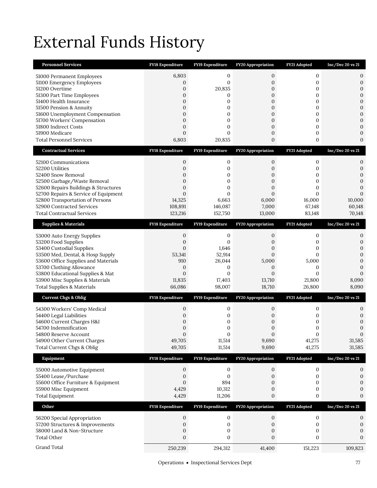# External Funds History

| <b>Personnel Services</b>                                                    | FY18 Expenditure                 | FY19 Expenditure         | FY20 Appropriation               | FY21 Adopted                 | Inc/Dec 20 vs 21                 |
|------------------------------------------------------------------------------|----------------------------------|--------------------------|----------------------------------|------------------------------|----------------------------------|
| 51000 Permanent Employees                                                    | 6,803                            | 0                        | 0                                | $\mathbf{0}$                 | 0                                |
| 51100 Emergency Employees                                                    | 0                                | 0                        | 0                                | $\boldsymbol{0}$             | $\boldsymbol{0}$                 |
| 51200 Overtime                                                               | 0                                | 20,835                   | $\mathbf{0}$                     | $\mathbf{0}$                 | $\mathbf{0}$                     |
| 51300 Part Time Employees                                                    | $\overline{0}$                   | 0                        | $\mathbf{0}$                     | 0                            | $\boldsymbol{0}$                 |
| 51400 Health Insurance                                                       | $\mathbf{0}$                     | 0                        | $\boldsymbol{0}$                 | 0                            | $\mathbf{0}$                     |
| 51500 Pension & Annuity<br>51600 Unemployment Compensation                   | $\mathbf{0}$<br>$\mathbf{0}$     | 0<br>0                   | 0<br>$\boldsymbol{0}$            | 0<br>0                       | $\boldsymbol{0}$<br>$\mathbf{0}$ |
| 51700 Workers' Compensation                                                  | $\overline{0}$                   | 0                        | 0                                | 0                            | $\mathbf{0}$                     |
| 51800 Indirect Costs                                                         | $\overline{0}$                   | 0                        | 0                                | 0                            | $\mathbf{0}$                     |
| 51900 Medicare                                                               | $\overline{0}$                   | $\Omega$                 | $\boldsymbol{0}$                 | 0                            | $\mathbf{0}$                     |
| <b>Total Personnel Services</b>                                              | 6,803                            | 20,835                   | 0                                | 0                            | $\mathbf{0}$                     |
| <b>Contractual Services</b>                                                  | <b>FY18 Expenditure</b>          | <b>FY19 Expenditure</b>  | <b>FY20 Appropriation</b>        | FY21 Adopted                 | Inc/Dec 20 vs 21                 |
| 52100 Communications                                                         | 0                                | 0                        | 0                                | $\boldsymbol{0}$             | 0                                |
| 52200 Utilities                                                              | $\overline{0}$                   | 0                        | 0                                | 0                            | $\mathbf{0}$                     |
| 52400 Snow Removal                                                           | $\overline{0}$                   | 0                        | 0                                | 0                            | $\mathbf{0}$                     |
| 52500 Garbage/Waste Removal                                                  | $\overline{0}$                   | $\overline{0}$           | $\overline{0}$                   | $\overline{0}$               | $\overline{0}$                   |
| 52600 Repairs Buildings & Structures<br>52700 Repairs & Service of Equipment | $\overline{0}$<br>$\overline{0}$ | 0<br>0                   | $\overline{0}$<br>$\overline{0}$ | $\mathbf{0}$<br>$\mathbf{0}$ | $\mathbf{0}$<br>$\mathbf{0}$     |
| 52800 Transportation of Persons                                              | 14,325                           | 6,663                    | 6,000                            | 16,000                       | 10,000                           |
| 52900 Contracted Services                                                    | 108,891                          | 146,087                  | 7,000                            | 67,148                       | 60,148                           |
| <b>Total Contractual Services</b>                                            | 123,216                          | 152,750                  | 13,000                           | 83,148                       | 70,148                           |
| <b>Supplies &amp; Materials</b>                                              | <b>FY18 Expenditure</b>          | FY19 Expenditure         | FY20 Appropriation               | FY21 Adopted                 | Inc/Dec 20 vs 21                 |
|                                                                              | 0                                | 0                        | 0                                | 0                            |                                  |
| 53000 Auto Energy Supplies<br>53200 Food Supplies                            | $\mathbf{0}$                     | 0                        | 0                                | 0                            | 0<br>$\mathbf{0}$                |
| 53400 Custodial Supplies                                                     | $\overline{0}$                   | 1,646                    | 0                                | 0                            | $\mathbf{0}$                     |
| 53500 Med, Dental, & Hosp Supply                                             | 53,341                           | 52,914                   | 0                                | $\overline{0}$               | $\mathbf{0}$                     |
| 53600 Office Supplies and Materials                                          | 910                              | 26,044                   | 5,000                            | 5,000                        | $\mathbf{0}$                     |
| 53700 Clothing Allowance                                                     | 0                                | 0                        | 0                                | $\mathbf{0}$                 | $\mathbf{0}$                     |
| 53800 Educational Supplies & Mat<br>53900 Misc Supplies & Materials          | $\mathbf{0}$<br>11,835           | $\overline{0}$<br>17,403 | $\overline{0}$<br>13,710         | $\overline{0}$<br>21,800     | $\mathbf{0}$<br>8,090            |
| <b>Total Supplies &amp; Materials</b>                                        | 66,086                           | 98,007                   | 18,710                           | 26,800                       | 8,090                            |
| <b>Current Chgs &amp; Oblig</b>                                              | FY18 Expenditure                 | FY19 Expenditure         | <b>FY20 Appropriation</b>        | FY21 Adopted                 | Inc/Dec 20 vs 21                 |
|                                                                              |                                  |                          |                                  |                              |                                  |
| 54300 Workers' Comp Medical                                                  | 0                                | 0                        | 0                                | 0                            | 0                                |
| 54400 Legal Liabilities                                                      | 0                                | 0                        | 0                                | 0                            | $\mathbf{0}$<br>$\mathbf{0}$     |
| 54600 Current Charges H&I<br>54700 Indemnification                           | $\mathbf 0$<br>0                 | 0<br>0                   | 0<br>0                           | 0<br>0                       | $\boldsymbol{0}$                 |
| 54800 Reserve Account                                                        | $\Omega$                         | $\Omega$                 | $\Omega$                         | $\overline{0}$               | $\mathbf{0}$                     |
| 54900 Other Current Charges                                                  | 49,705                           | 11,514                   | 9,690                            | 41,275                       | 31,585                           |
| Total Current Chgs & Oblig                                                   | 49,705                           | 11,514                   | 9,690                            | 41,275                       | 31,585                           |
| Equipment                                                                    | FY18 Expenditure                 | FY19 Expenditure         | FY20 Appropriation               | FY21 Adopted                 | $Inc/Dec$ 20 vs 21               |
| 55000 Automotive Equipment                                                   | $\boldsymbol{0}$                 | $\mathbf{0}$             | $\boldsymbol{0}$                 | $\boldsymbol{0}$             | $\mathbf{0}$                     |
| 55400 Lease/Purchase                                                         | $\boldsymbol{0}$                 | $\mathbf{0}$             | $\mathbf{0}$                     | $\boldsymbol{0}$             | 0                                |
| 55600 Office Furniture & Equipment                                           | 0                                | 894                      | 0                                | 0                            | $\mathbf{0}$                     |
| 55900 Misc Equipment                                                         | 4,429                            | 10,312                   | 0                                | 0                            | 0                                |
| <b>Total Equipment</b>                                                       | 4,429                            | 11,206                   | 0                                | $\boldsymbol{0}$             | $\boldsymbol{0}$                 |
| Other                                                                        | FY18 Expenditure                 | FY19 Expenditure         | <b>FY20 Appropriation</b>        | FY21 Adopted                 | $Inc/Dec$ 20 vs 21               |
|                                                                              |                                  |                          |                                  |                              |                                  |
| 56200 Special Appropriation                                                  | 0                                | 0                        | 0                                | $\boldsymbol{0}$             | 0                                |
| 57200 Structures & Improvements                                              | 0                                | 0                        | 0                                | $\boldsymbol{0}$             | $\boldsymbol{0}$                 |
| 58000 Land & Non-Structure                                                   | 0                                | 0                        | 0                                | 0                            | 0                                |
| <b>Total Other</b>                                                           | $\boldsymbol{0}$                 | 0                        | $\boldsymbol{0}$                 | $\mathbf{0}$                 | $\boldsymbol{0}$                 |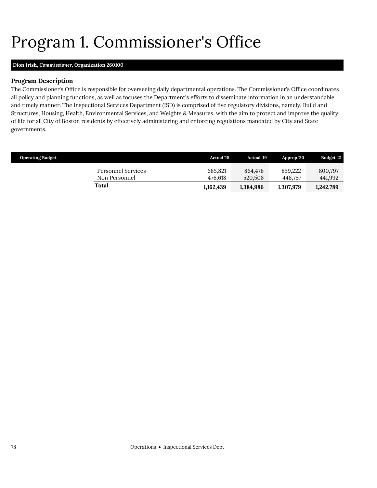# <span id="page-9-0"></span>Program 1. Commissioner's Office

## **Dion Irish,** *Commissioner,* **Organization 260100**

## **Program Description**

The Commissioner's Office is responsible for overseeing daily departmental operations. The Commissioner's Office coordinates all policy and planning functions, as well as focuses the Department's efforts to disseminate information in an understandable and timely manner. The Inspectional Services Department (ISD) is comprised of five regulatory divisions, namely, Build and Structures, Housing, Health, Environmental Services, and Weights & Measures, with the aim to protect and improve the quality of life for all City of Boston residents by effectively administering and enforcing regulations mandated by City and State governments.

| <b>Operating Budget</b>             | <b>Actual</b> '18  | <b>Actual</b> '19  | Approp '20         | <b>Budget '21</b>  |
|-------------------------------------|--------------------|--------------------|--------------------|--------------------|
| Personnel Services<br>Non Personnel | 685,821<br>476.618 | 864.478<br>520,508 | 859.222<br>448.757 | 800.797<br>441,992 |
| Total                               | 1.162.439          | 1,384,986          | 1.307.979          | 1,242,789          |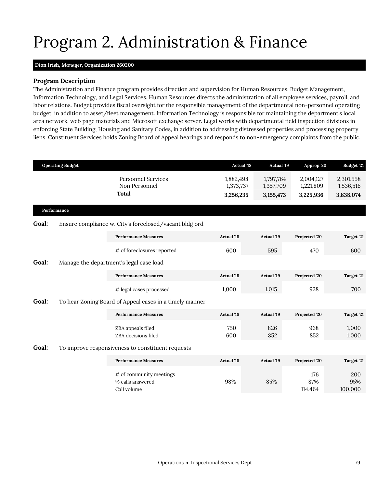# <span id="page-10-0"></span>Program 2. Administration & Finance

## **Dion Irish,** *Manager,* **Organization 260200**

## **Program Description**

The Administration and Finance program provides direction and supervision for Human Resources, Budget Management, Information Technology, and Legal Services. Human Resources directs the administration of all employee services, payroll, and labor relations. Budget provides fiscal oversight for the responsible management of the departmental non-personnel operating budget, in addition to asset/fleet management. Information Technology is responsible for maintaining the department's local area network, web page materials and Microsoft exchange server. Legal works with departmental field inspection divisions in enforcing State Building, Housing and Sanitary Codes, in addition to addressing distressed properties and processing property liens. Constituent Services holds Zoning Board of Appeal hearings and responds to non-emergency complaints from the public.

|       | <b>Operating Budget</b> |                                                            | <b>Actual '18</b>      | <b>Actual</b> '19      | Approp '20             | <b>Budget '21</b>      |
|-------|-------------------------|------------------------------------------------------------|------------------------|------------------------|------------------------|------------------------|
|       |                         | <b>Personnel Services</b><br>Non Personnel                 | 1,882,498<br>1,373,737 | 1,797,764<br>1,357,709 | 2,004,127<br>1,221,809 | 2,301,558<br>1,536,516 |
|       |                         | <b>Total</b>                                               | 3,256,235              | 3, 155, 473            | 3,225,936              | 3,838,074              |
|       | Performance             |                                                            |                        |                        |                        |                        |
| Goal: |                         | Ensure compliance w. City's foreclosed/vacant bldg ord     |                        |                        |                        |                        |
|       |                         | <b>Performance Measures</b>                                | <b>Actual '18</b>      | Actual '19             | Projected '20          | Target '21             |
|       |                         | # of foreclosures reported                                 | 600                    | 595                    | 470                    | 600                    |
| Goal: |                         | Manage the department's legal case load                    |                        |                        |                        |                        |
|       |                         | <b>Performance Measures</b>                                | <b>Actual</b> '18      | Actual '19             | Projected '20          | Target '21             |
|       |                         | # legal cases processed                                    | 1,000                  | 1,015                  | 928                    | 700                    |
| Goal: |                         | To hear Zoning Board of Appeal cases in a timely manner    |                        |                        |                        |                        |
|       |                         | <b>Performance Measures</b>                                | <b>Actual</b> '18      | Actual '19             | Projected '20          | Target '21             |
|       |                         | ZBA appeals filed<br>ZBA decisions filed                   | 750<br>600             | 826<br>852             | 968<br>852             | 1,000<br>1,000         |
| Goal: |                         | To improve responsiveness to constituent requests          |                        |                        |                        |                        |
|       |                         | <b>Performance Measures</b>                                | <b>Actual</b> '18      | <b>Actual</b> '19      | Projected '20          | Target '21             |
|       |                         | # of community meetings<br>% calls answered<br>Call volume | 98%                    | 85%                    | 176<br>87%<br>114,464  | 200<br>95%<br>100,000  |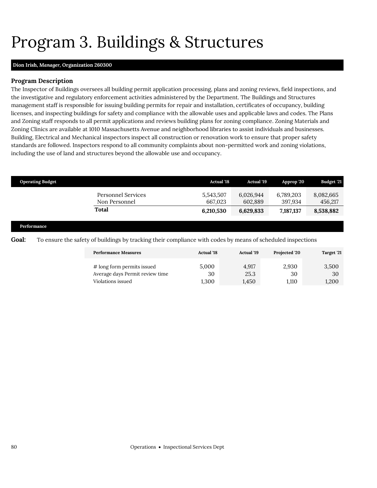# <span id="page-11-0"></span>Program 3. Buildings & Structures

## **Dion Irish,** *Manager,* **Organization 260300**

## **Program Description**

The Inspector of Buildings oversees all building permit application processing, plans and zoning reviews, field inspections, and the investigative and regulatory enforcement activities administered by the Department. The Buildings and Structures management staff is responsible for issuing building permits for repair and installation, certificates of occupancy, building licenses, and inspecting buildings for safety and compliance with the allowable uses and applicable laws and codes. The Plans and Zoning staff responds to all permit applications and reviews building plans for zoning compliance. Zoning Materials and Zoning Clinics are available at 1010 Massachusetts Avenue and neighborhood libraries to assist individuals and businesses. Building, Electrical and Mechanical inspectors inspect all construction or renovation work to ensure that proper safety standards are followed. Inspectors respond to all community complaints about non-permitted work and zoning violations, including the use of land and structures beyond the allowable use and occupancy.

| <b>Operating Budget</b> |                                            | <b>Actual</b> '18    | <b>Actual</b> '19    | Approp '20           | <b>Budget '21</b>    |
|-------------------------|--------------------------------------------|----------------------|----------------------|----------------------|----------------------|
|                         | <b>Personnel Services</b><br>Non Personnel | 5,543,507<br>667.023 | 6,026,944<br>602,889 | 6,789,203<br>397,934 | 8,082,665<br>456,217 |
|                         | Total                                      | 6,210,530            | 6,629,833            | 7,187,137            | 8,538,882            |
| Performance             |                                            |                      |                      |                      |                      |

**Goal:** To ensure the safety of buildings by tracking their compliance with codes by means of scheduled inspections

| <b>Performance Measures</b>     | <b>Actual</b> '18 | <b>Actual</b> '19 | Projected '20 | Target '21 |
|---------------------------------|-------------------|-------------------|---------------|------------|
| # long form permits issued      | 5.000             | 4.917             | 2,930         | 3,500      |
| Average days Permit review time | 30                | 25.3              | 30            | 30         |
| Violations issued               | 1.300             | 1.450             | 1.110         | 1,200      |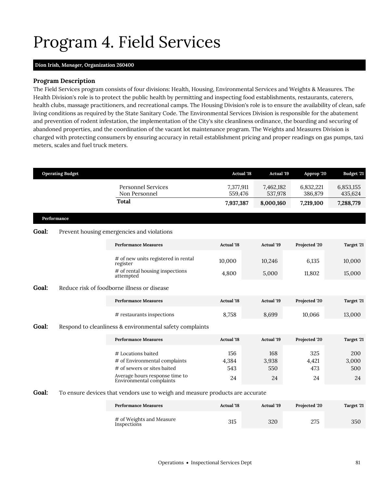# <span id="page-12-0"></span>Program 4. Field Services

## **Dion Irish,** *Manager,* **Organization 260400**

### **Program Description**

The Field Services program consists of four divisions: Health, Housing, Environmental Services and Weights & Measures. The Health Division's role is to protect the public health by permitting and inspecting food establishments, restaurants, caterers, health clubs, massage practitioners, and recreational camps. The Housing Division's role is to ensure the availability of clean, safe living conditions as required by the State Sanitary Code. The Environmental Services Division is responsible for the abatement and prevention of rodent infestation, the implementation of the City's site cleanliness ordinance, the boarding and securing of abandoned properties, and the coordination of the vacant lot maintenance program. The Weights and Measures Division is charged with protecting consumers by ensuring accuracy in retail establishment pricing and proper readings on gas pumps, taxi meters, scales and fuel truck meters.

|       | <b>Operating Budget</b> |                                                                                                                                                  | <b>Actual '18</b>         | <b>Actual '19</b>         | Approp '20                | Budget '21                |
|-------|-------------------------|--------------------------------------------------------------------------------------------------------------------------------------------------|---------------------------|---------------------------|---------------------------|---------------------------|
|       |                         | <b>Personnel Services</b><br>Non Personnel                                                                                                       | 7,377,911<br>559,476      | 7,462,182<br>537,978      | 6,832,221<br>386,879      | 6,853,155<br>435,624      |
|       |                         | <b>Total</b>                                                                                                                                     | 7,937,387                 | 8,000,160                 | 7,219,100                 | 7,288,779                 |
|       | Performance             |                                                                                                                                                  |                           |                           |                           |                           |
| Goal: |                         | Prevent housing emergencies and violations                                                                                                       |                           |                           |                           |                           |
|       |                         | <b>Performance Measures</b>                                                                                                                      | <b>Actual</b> '18         | <b>Actual '19</b>         | Projected '20             | Target '21                |
|       |                         | # of new units registered in rental<br>register                                                                                                  | 10,000                    | 10,246                    | 6,135                     | 10,000                    |
|       |                         | # of rental housing inspections<br>attempted                                                                                                     | 4,800                     | 5,000                     | 11,802                    | 15,000                    |
| Goal: |                         | Reduce risk of foodborne illness or disease                                                                                                      |                           |                           |                           |                           |
|       |                         | <b>Performance Measures</b>                                                                                                                      | <b>Actual</b> '18         | <b>Actual '19</b>         | Projected '20             | Target '21                |
|       |                         | # restaurants inspections                                                                                                                        | 8,758                     | 8,699                     | 10,066                    | 13,000                    |
| Goal: |                         | Respond to cleanliness & environmental safety complaints                                                                                         |                           |                           |                           |                           |
|       |                         | <b>Performance Measures</b>                                                                                                                      | <b>Actual '18</b>         | <b>Actual '19</b>         | Projected '20             | Target '21                |
|       |                         | # Locations baited<br># of Environmental complaints<br># of sewers or sites baited<br>Average hours response time to<br>Environmental complaints | 156<br>4,384<br>543<br>24 | 168<br>3,938<br>550<br>24 | 325<br>4,421<br>473<br>24 | 200<br>3,000<br>500<br>24 |
| Goal: |                         | To ensure devices that vendors use to weigh and measure products are accurate                                                                    |                           |                           |                           |                           |
|       |                         | <b>Performance Measures</b>                                                                                                                      | <b>Actual</b> '18         | <b>Actual '19</b>         | Projected '20             | Target '21                |
|       |                         | # of Weights and Measure<br>Inspections                                                                                                          | 315                       | 320                       | 275                       | 350                       |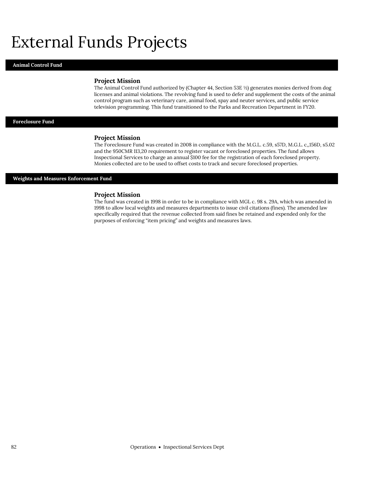# External Funds Projects

#### **Animal Control Fund**

#### **Project Mission**

The Animal Control Fund authorized by (Chapter 44, Section 53E ½) generates monies derived from dog licenses and animal violations. The revolving fund is used to defer and supplement the costs of the animal control program such as veterinary care, animal food, spay and neuter services, and public service television programming. This fund transitioned to the Parks and Recreation Department in FY20.

### **Foreclosure Fund**

#### **Project Mission**

The Foreclosure Fund was created in 2008 in compliance with the M.G.L. c.59, s57D, M.G.L. c,,156D, s5.02 and the 950CMR 113,20 requirement to register vacant or foreclosed properties. The fund allows Inspectional Services to charge an annual \$100 fee for the registration of each foreclosed property. Monies collected are to be used to offset costs to track and secure foreclosed properties.

#### **Weights and Measures Enforcement Fund**

#### **Project Mission**

The fund was created in 1998 in order to be in compliance with MGL c. 98 s. 29A, which was amended in 1998 to allow local weights and measures departments to issue civil citations (fines). The amended law specifically required that the revenue collected from said fines be retained and expended only for the purposes of enforcing "item pricing" and weights and measures laws.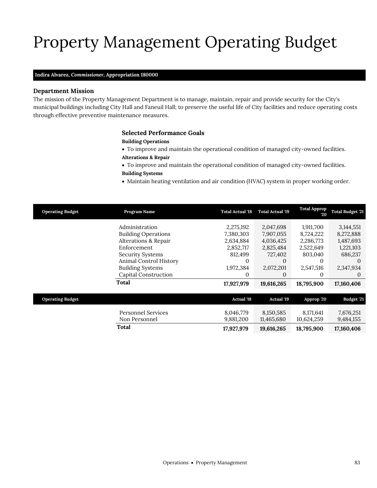# Property Management Operating Budget

## **Indira Alvarez,** *Commissioner,* **Appropriation 180000**

### **Department Mission**

The mission of the Property Management Department is to manage, maintain, repair and provide security for the City's municipal buildings including City Hall and Faneuil Hall; to preserve the useful life of City facilities and reduce operating costs through effective preventive maintenance measures.

### <span id="page-14-0"></span>**Selected Performance Goals**

### **Building Operations**

To improve and maintain the operational condition of managed city-owned facilities.

## **Alterations & Repair**

- To improve and maintain the operational condition of managed city-owned facilities.
- **Building Systems**
- Maintain heating ventilation and air condition (HVAC) system in proper working order.

| <b>Operating Budget</b> | Program Name                    | <b>Total Actual '18</b> | <b>Total Actual '19</b> | <b>Total Approp</b><br>20 | <b>Total Budget '21</b> |
|-------------------------|---------------------------------|-------------------------|-------------------------|---------------------------|-------------------------|
|                         | Administration                  | 2,275,192               | 2,047,698               | 1,911,700                 | 3, 144, 551             |
|                         | <b>Building Operations</b>      | 7,380,303               | 7,907,055               | 8,724,222                 | 8,272,888               |
|                         | <b>Alterations &amp; Repair</b> | 2,634,884               | 4,036,425               | 2,286,773                 | 1,487,693               |
|                         | Enforcement                     | 2,852,717               | 2,825,484               | 2,522,649                 | 1,221,103               |
|                         | <b>Security Systems</b>         | 812,499                 | 727,402                 | 803,040                   | 686,237                 |
|                         | Animal Control History          | 0                       | 0                       | 0                         | $_{0}$                  |
|                         | <b>Building Systems</b>         | 1,972,384               | 2,072,201               | 2,547,516                 | 2,347,934               |
|                         | <b>Capital Construction</b>     | $\theta$                | $\theta$                | 0                         | 0                       |
|                         | Total                           | 17,927,979              | 19,616,265              | 18,795,900                | 17,160,406              |
|                         |                                 |                         |                         |                           |                         |
| <b>Operating Budget</b> |                                 | <b>Actual '18</b>       | <b>Actual '19</b>       | Approp '20                | Budget '21              |
|                         | <b>Personnel Services</b>       | 8,046,779               | 8,150,585               | 8,171,641                 | 7,676,251               |
|                         | Non Personnel                   | 9,881,200               | 11,465,680              | 10,624,259                | 9,484,155               |
|                         | Total                           | 17,927,979              | 19,616,265              | 18,795,900                | 17,160,406              |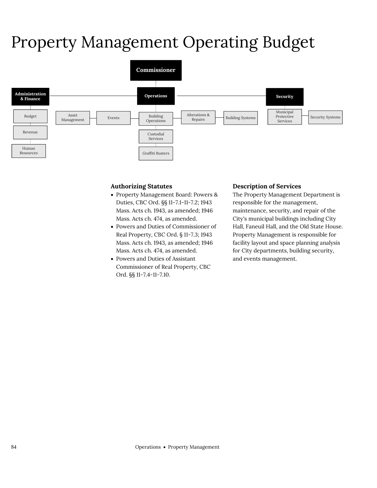# Property Management Operating Budget



## **Authorizing Statutes**

- Property Management Board: Powers & Duties, CBC Ord. §§ 11-7.1-11-7.2; 1943 Mass. Acts ch. 1943, as amended; 1946 Mass. Acts ch. 474, as amended.
- Powers and Duties of Commissioner of Real Property, CBC Ord. § 11-7.3; 1943 Mass. Acts ch. 1943, as amended; 1946 Mass. Acts ch. 474, as amended.
- Powers and Duties of Assistant Commissioner of Real Property, CBC Ord. §§ 11-7.4-11-7.10.

## **Description of Services**

The Property Management Department is responsible for the management, maintenance, security, and repair of the City's municipal buildings including City Hall, Faneuil Hall, and the Old State House. Property Management is responsible for facility layout and space planning analysis for City departments, building security, and events management.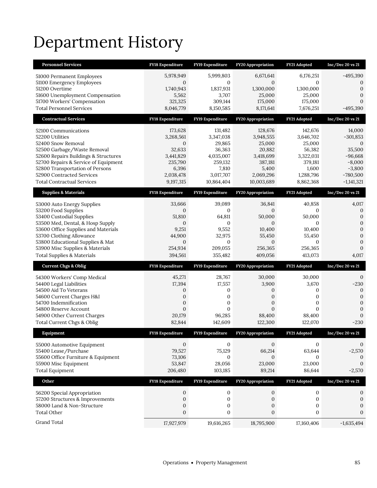# Department History

| <b>Personnel Services</b>                                                | <b>FY18 Expenditure</b>        | FY19 Expenditure        | <b>FY20 Appropriation</b>      | FY21 Adopted        | Inc/Dec 20 vs 21                 |
|--------------------------------------------------------------------------|--------------------------------|-------------------------|--------------------------------|---------------------|----------------------------------|
| 51000 Permanent Employees                                                | 5,978,949                      | 5,999,803               | 6,671,641                      | 6,176,251           | $-495,390$                       |
| 51100 Emergency Employees                                                | $\sigma$                       | $\mathbf{0}$            | $\sigma$                       | $\Omega$            | $\theta$                         |
| 51200 Overtime                                                           | 1,740,943                      | 1,837,931               | 1,300,000                      | 1,300,000           | $\theta$                         |
| 51600 Unemployment Compensation<br>51700 Workers' Compensation           | 5,562<br>321,325               | 3,707<br>309,144        | 25,000                         | 25,000<br>175,000   | $\overline{0}$<br>$\overline{0}$ |
| <b>Total Personnel Services</b>                                          | 8,046,779                      | 8,150,585               | 175,000<br>8,171,641           | 7,676,251           | $-495,390$                       |
|                                                                          |                                |                         |                                |                     |                                  |
| <b>Contractual Services</b>                                              | FY18 Expenditure               | FY19 Expenditure        | FY20 Appropriation             | FY21 Adopted        | $Inc/Dec$ 20 vs $21$             |
| 52100 Communications                                                     | 173,628                        | 131,482                 | 128,676                        | 142,676             | 14,000                           |
| 52200 Utilities                                                          | 3,268,561                      | 3,347,038               | 3,948,555                      | 3,646,702           | $-301,853$                       |
| 52400 Snow Removal<br>52500 Garbage/Waste Removal                        | $\sigma$<br>32,633             | 29,865<br>36,363        | 25,000<br>20,882               | 25,000<br>56,382    | $\theta$<br>35,500               |
| 52600 Repairs Buildings & Structures                                     | 3,441,829                      | 4,035,007               | 3,418,699                      | 3,322,031           | $-96,668$                        |
| 52700 Repairs & Service of Equipment                                     | 235,790                        | 259,132                 | 387,181                        | 379,181             | $-8,000$                         |
| 52800 Transportation of Persons                                          | 6,396                          | 7,810                   | 5,400                          | 1,600               | $-3,800$                         |
| 52900 Contracted Services                                                | 2,038,478                      | 3,017,707               | 2,069,296                      | 1,288,796           | $-780,500$                       |
| <b>Total Contractual Services</b>                                        | 9,197,315                      | 10,864,404              | 10,003,689                     | 8,862,368           | $-1,141,321$                     |
| <b>Supplies &amp; Materials</b>                                          | <b>FY18 Expenditure</b>        | FY19 Expenditure        | <b>FY20 Appropriation</b>      | FY21 Adopted        | Inc/Dec 20 vs 21                 |
| 53000 Auto Energy Supplies                                               | 33,666                         | 39,089                  | 36,841                         | 40,858              | 4,017                            |
| 53200 Food Supplies                                                      | 0                              | $\boldsymbol{0}$        | $\boldsymbol{0}$               | 0                   | $\mathbf{0}$                     |
| 53400 Custodial Supplies                                                 | 51,810                         | 64,811                  | 50,000                         | 50,000              | $\boldsymbol{0}$                 |
| 53500 Med, Dental, & Hosp Supply                                         | $\mathbf{0}$                   | $\mathbf{0}$            | $\overline{0}$                 | $\overline{0}$      | $\mathbf{0}$                     |
| 53600 Office Supplies and Materials<br>53700 Clothing Allowance          | 9,251<br>44,900                | 9,552<br>32,975         | 10,400<br>55,450               | 10,400<br>55,450    | $\overline{0}$<br>$\overline{0}$ |
| 53800 Educational Supplies & Mat                                         | $\overline{0}$                 | $\mathbf{0}$            | $\overline{0}$                 | $\mathbf{0}$        | $\mathbf{0}$                     |
|                                                                          |                                |                         |                                |                     |                                  |
|                                                                          | 254,934                        | 209,055                 | 256,365                        | 256,365             | $\mathbf{0}$                     |
| 53900 Misc Supplies & Materials<br><b>Total Supplies &amp; Materials</b> | 394,561                        | 355,482                 | 409,056                        | 413,073             | 4,017                            |
| <b>Current Chgs &amp; Oblig</b>                                          | <b>FY18 Expenditure</b>        | FY19 Expenditure        | <b>FY20 Appropriation</b>      | FY21 Adopted        | $Inc/Dec$ 20 vs 21               |
|                                                                          |                                |                         |                                |                     |                                  |
| 54300 Workers' Comp Medical                                              | 45,271                         | 28,767                  | 30,000                         | 30,000              | $\mathbf{0}$                     |
| 54400 Legal Liabilities<br>54500 Aid To Veterans                         | 17,394<br>0                    | 17,557<br>0             | 3,900<br>0                     | 3,670<br>0          | $-230$<br>$\theta$               |
| 54600 Current Charges H&I                                                | $\mathbf{0}$                   | 0                       | $\mathbf{0}$                   | 0                   | $\overline{0}$                   |
| 54700 Indemnification                                                    | $\mathbf{0}$                   | 0                       | 0                              | 0                   | $\overline{0}$                   |
| 54800 Reserve Account                                                    | $\overline{0}$                 | $\overline{0}$          | $\overline{0}$                 | $\overline{0}$      | $\mathbf{0}$                     |
| 54900 Other Current Charges                                              | 20,179                         | 96,285                  | 88,400                         | 88,400              | $\overline{0}$                   |
| Total Current Chgs & Oblig                                               | 82,844                         | 142,609                 | 122,300                        | 122,070             | -230                             |
| Equipment                                                                | <b>FY18 Expenditure</b>        | <b>FY19 Expenditure</b> | <b>FY20 Appropriation</b>      | <b>FY21 Adopted</b> | Inc/Dec 20 vs 21                 |
| 55000 Automotive Equipment                                               | $\mathbf{0}$                   | 0                       | $\mathbf{0}$                   | 0                   | 0                                |
| 55400 Lease/Purchase                                                     | 79,527                         | 75,129                  | 66,214                         | 63,644              | $-2,570$                         |
| 55600 Office Furniture & Equipment                                       | 73,106                         | $\mathbf{0}$            | $\mathbf{0}$                   | $\mathbf{0}$        | $\mathbf{0}$                     |
| 55900 Misc Equipment                                                     | 53,847                         | 28,056                  | 23,000                         | 23,000              | $\mathbf{0}$                     |
| <b>Total Equipment</b>                                                   | 206,480                        | 103,185                 | 89,214                         | 86,644              | $-2,570$                         |
| Other                                                                    | FY18 Expenditure               | FY19 Expenditure        | FY20 Appropriation             | FY21 Adopted        | Inc/Dec 20 vs 21                 |
| 56200 Special Appropriation                                              | 0                              | $\mathbf 0$             | 0                              | $\boldsymbol{0}$    | 0                                |
| 57200 Structures & Improvements                                          | $\boldsymbol{0}$               | $\boldsymbol{0}$        | 0                              | $\boldsymbol{0}$    | $\boldsymbol{0}$                 |
| 58000 Land & Non-Structure                                               | $\boldsymbol{0}$               | $\boldsymbol{0}$        | $\boldsymbol{0}$               | $\boldsymbol{0}$    | $\boldsymbol{0}$                 |
| <b>Total Other</b><br>Grand Total                                        | $\boldsymbol{0}$<br>17,927,979 | $\boldsymbol{0}$        | $\boldsymbol{0}$<br>18,795,900 | $\boldsymbol{0}$    | 0                                |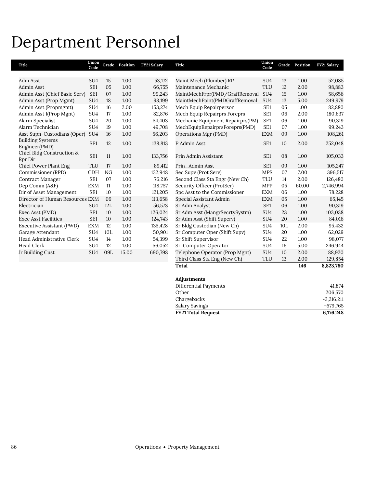## Department Personnel

| 1.00<br>52,085     |
|--------------------|
| 2.00<br>98,883     |
| 1.00<br>58,656     |
| 5.00<br>249,979    |
| 1.00<br>82,880     |
| 2.00<br>180,637    |
| 1.00<br>90,319     |
| 1.00<br>99,243     |
| 1.00<br>108,261    |
| 2.00<br>252,048    |
| 1.00<br>105,033    |
| 1.00<br>105,247    |
| 7.00<br>396,517    |
| 2.00<br>126,480    |
| 60.00<br>2,746,994 |
| 1.00<br>78,228     |
| 1.00<br>65,145     |
| 1.00<br>90,319     |
| 1.00<br>103,038    |
| 1.00<br>84,016     |
| 2.00<br>95,432     |
| 1.00<br>62,029     |
| 1.00<br>98,077     |
| 5.00<br>246,944    |
| 2.00<br>88,920     |
| 2.00<br>129,854    |
| 146<br>8,823,780   |
|                    |
| 41,874             |
|                    |

| <b>FY21 Total Request</b> | 6.176.248    |
|---------------------------|--------------|
| Salary Savings            | -679.765     |
| Chargebacks               | $-2.216.211$ |
| Other                     | 206,570      |
|                           |              |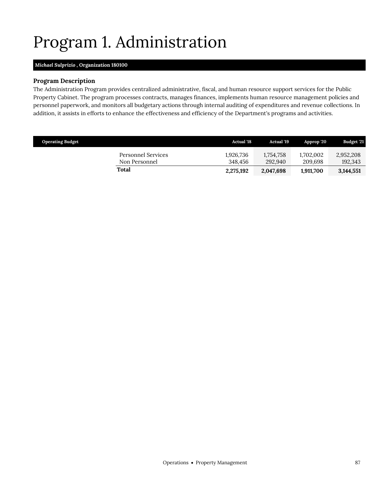# <span id="page-18-0"></span>Program 1. Administration

## *Michael Sulprizio ,* **Organization 180100**

## **Program Description**

The Administration Program provides centralized administrative, fiscal, and human resource support services for the Public Property Cabinet. The program processes contracts, manages finances, implements human resource management policies and personnel paperwork, and monitors all budgetary actions through internal auditing of expenditures and revenue collections. In addition, it assists in efforts to enhance the effectiveness and efficiency of the Department's programs and activities.

| <b>Operating Budget</b>             | <b>Actual</b> '18    | <b>Actual</b> '19    | Approp '20           | <b>Budget '21</b>    |
|-------------------------------------|----------------------|----------------------|----------------------|----------------------|
| Personnel Services<br>Non Personnel | 1.926.736<br>348.456 | 1,754,758<br>292.940 | 1.702.002<br>209.698 | 2,952,208<br>192,343 |
| Total                               | 2,275,192            | 2,047,698            | 1,911,700            | 3,144,551            |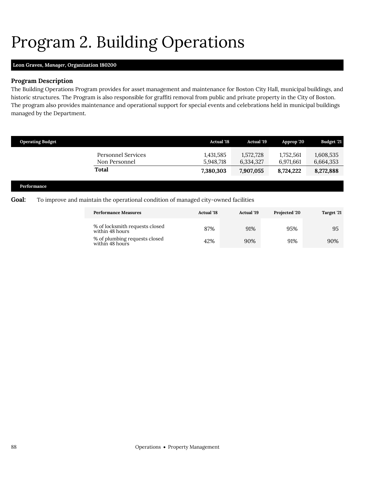# <span id="page-19-0"></span>Program 2. Building Operations

## **Leon Graves,** *Manager,* **Organization 180200**

## **Program Description**

The Building Operations Program provides for asset management and maintenance for Boston City Hall, municipal buildings, and historic structures. The Program is also responsible for graffiti removal from public and private property in the City of Boston. The program also provides maintenance and operational support for special events and celebrations held in municipal buildings managed by the Department.

| <b>Operating Budget</b> |                                                                                    | <b>Actual '18</b>      | <b>Actual</b> '19      | Approp '20             | <b>Budget '21</b>      |
|-------------------------|------------------------------------------------------------------------------------|------------------------|------------------------|------------------------|------------------------|
|                         | <b>Personnel Services</b><br>Non Personnel                                         | 1,431,585<br>5,948,718 | 1,572,728<br>6,334,327 | 1,752,561<br>6,971,661 | 1,608,535<br>6,664,353 |
|                         | <b>Total</b>                                                                       | 7,380,303              | 7,907,055              | 8,724,222              | 8,272,888              |
| Performance             |                                                                                    |                        |                        |                        |                        |
| Goal:                   | To improve and maintain the operational condition of managed city-owned facilities |                        |                        |                        |                        |

| <b>Performance Measures</b>                       | <b>Actual '18</b> | <b>Actual '19</b> | Projected '20 | Target '21 |
|---------------------------------------------------|-------------------|-------------------|---------------|------------|
| % of locksmith requests closed<br>within 48 hours | 87%               | 91%               | 95%           | 95         |
| % of plumbing requests closed<br>within 48 hours  | 42%               | 90%               | 91%           | 90%        |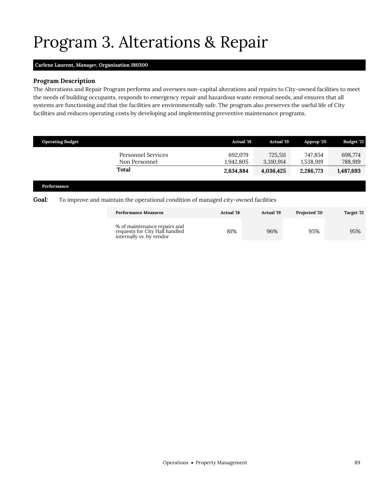# <span id="page-20-0"></span>Program 3. Alterations & Repair

## **Carlene Laurent,** *Manager,* **Organization 180300**

### **Program Description**

The Alterations and Repair Program performs and oversees non-capital alterations and repairs to City-owned facilities to meet the needs of building occupants, responds to emergency repair and hazardous waste removal needs, and ensures that all systems are functioning and that the facilities are environmentally safe. The program also preserves the useful life of City facilities and reduces operating costs by developing and implementing preventive maintenance programs.

| <b>Operating Budget</b> |                                     | <b>Actual '18</b>    | <b>Actual</b> '19    | Approp '20           | <b>Budget '21</b>  |
|-------------------------|-------------------------------------|----------------------|----------------------|----------------------|--------------------|
|                         | Personnel Services<br>Non Personnel | 692,079<br>1.942.805 | 725,511<br>3.310.914 | 747,854<br>1.538.919 | 698,774<br>788,919 |
|                         | <b>Total</b>                        | 2,634,884            | 4,036,425            | 2,286,773            | 1,487,693          |
|                         |                                     |                      |                      |                      |                    |

#### **Performance**

### **Goal:** To improve and maintain the operational condition of managed city-owned facilities

| <b>Performance Measures</b>                                                                | <b>Actual</b> '18 | Actual '19 | <b>Projected '20</b> | Target '21 |
|--------------------------------------------------------------------------------------------|-------------------|------------|----------------------|------------|
| % of maintenance repairs and<br>requests for City Hall handled<br>internally vs. by vendor | 81%               | 96%        | 95%                  | 95%        |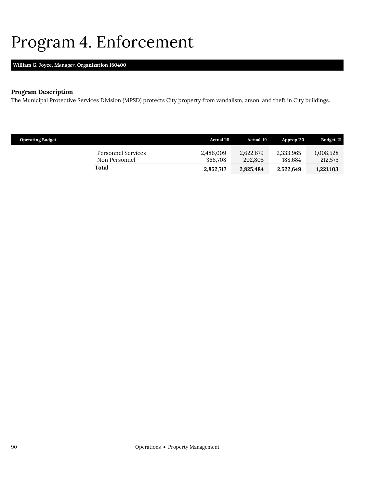## <span id="page-21-0"></span>Program 4. Enforcement

## **William G. Joyce,** *Manager,* **Organization 180400**

## **Program Description**

The Municipal Protective Services Division (MPSD) protects City property from vandalism, arson, and theft in City buildings.

| <b>Operating Budget</b>             | <b>Actual</b> '18    | <b>Actual</b> '19    | Approp '20           | Budget '21           |
|-------------------------------------|----------------------|----------------------|----------------------|----------------------|
| Personnel Services<br>Non Personnel | 2,486,009<br>366,708 | 2,622,679<br>202.805 | 2,333,965<br>188.684 | 1,008,528<br>212,575 |
| Total                               | 2,852,717            | 2,825,484            | 2,522,649            | 1.221.103            |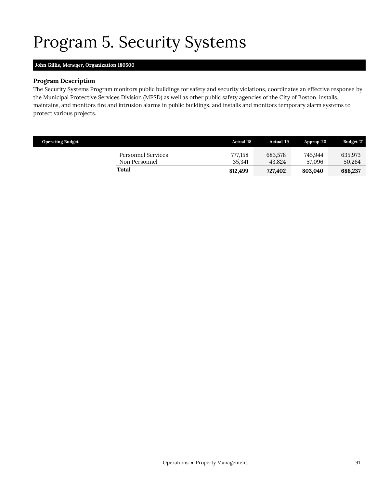# <span id="page-22-0"></span>Program 5. Security Systems

## **John Gillis,** *Manager,* **Organization 180500**

## **Program Description**

The Security Systems Program monitors public buildings for safety and security violations, coordinates an effective response by the Municipal Protective Services Division (MPSD) as well as other public safety agencies of the City of Boston, installs, maintains, and monitors fire and intrusion alarms in public buildings, and installs and monitors temporary alarm systems to protect various projects.

| <b>Operating Budget</b>             | <b>Actual</b> '18 | <b>Actual</b> '19 | Approp 20         | <b>Budget '21</b> |
|-------------------------------------|-------------------|-------------------|-------------------|-------------------|
| Personnel Services<br>Non Personnel | 777,158<br>35.341 | 683.578<br>43.824 | 745.944<br>57.096 | 635,973<br>50,264 |
| Total                               | 812,499           | 727,402           | 803.040           | 686,237           |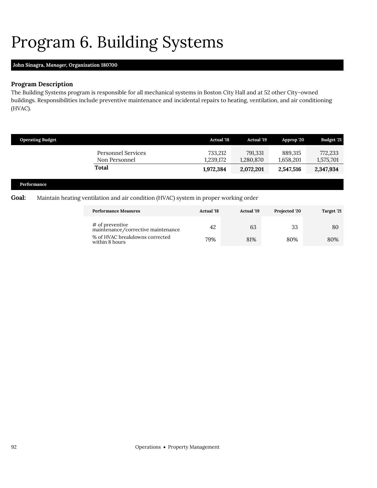# <span id="page-23-0"></span>Program 6. Building Systems

## **John Sinagra,** *Manager,* **Organization 180700**

## **Program Description**

The Building Systems program is responsible for all mechanical systems in Boston City Hall and at 52 other City-owned buildings. Responsibilities include preventive maintenance and incidental repairs to heating, ventilation, and air conditioning (HVAC).

| <b>Operating Budget</b>                    | <b>Actual '18</b>    | <b>Actual '19</b>    | Approp '20           | <b>Budget '21</b>    |
|--------------------------------------------|----------------------|----------------------|----------------------|----------------------|
| <b>Personnel Services</b><br>Non Personnel | 733,212<br>1,239,172 | 791,331<br>1,280,870 | 889.315<br>1,658,201 | 772,233<br>1,575,701 |
| Total                                      | 1,972,384            | 2,072,201            | 2,547,516            | 2,347,934            |
|                                            |                      |                      |                      |                      |

### **Performance**

### **Goal:** Maintain heating ventilation and air condition (HVAC) system in proper working order

| <b>Performance Measures</b>                           | <b>Actual 18</b> | <b>Actual</b> '19 | Projected '20 | Target '21 |
|-------------------------------------------------------|------------------|-------------------|---------------|------------|
| # of preventive<br>maintenance/corrective maintenance | 42               | 63                | 33            | 80         |
| % of HVAC breakdowns corrected<br>within 8 hours      | 79%              | 81%               | 80%           | 80%        |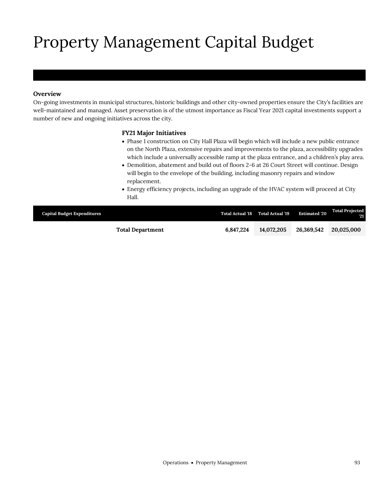# Property Management Capital Budget

## **Overview**

On-going investments in municipal structures, historic buildings and other city-owned properties ensure the City's facilities are well-maintained and managed. Asset preservation is of the utmost importance as Fiscal Year 2021 capital investments support a number of new and ongoing initiatives across the city.

## **FY21 Major Initiatives**

- Phase 1 construction on City Hall Plaza will begin which will include a new public entrance on the North Plaza, extensive repairs and improvements to the plaza, accessibility upgrades which include a universally accessible ramp at the plaza entrance, and a children's play area.
- Demolition, abatement and build out of floors 2-6 at 26 Court Street will continue. Design will begin to the envelope of the building, including masonry repairs and window replacement.
- Energy efficiency projects, including an upgrade of the HVAC system will proceed at City Hall.

| <b>Capital Budget Expenditures</b> |                         |           | Total Actual '18 Total Actual '19 | <b>Estimated '20</b> | <b>Total Projected</b><br><b>V21</b> |
|------------------------------------|-------------------------|-----------|-----------------------------------|----------------------|--------------------------------------|
|                                    | <b>Total Department</b> | 6.847.224 | 14.072.205                        | 26.369.542           | 20,025,000                           |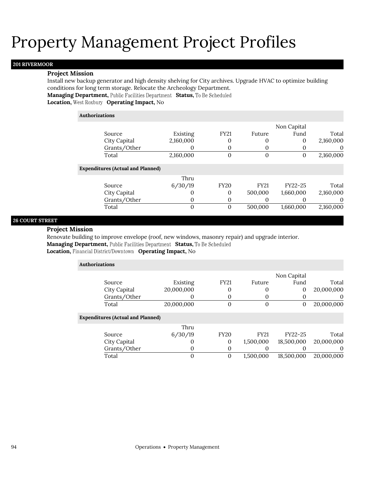# Property Management Project Profiles

### **201 RIVERMOOR**

### **Project Mission**

Install new backup generator and high density shelving for City archives. Upgrade HVAC to optimize building conditions for long term storage. Relocate the Archeology Department. **Managing Department, Public Facilities Department Status, To Be Scheduled Location, West Roxbury Operating Impact, No** 

## **Authorizations**

|                                          |           |                  |              | Non Capital |           |
|------------------------------------------|-----------|------------------|--------------|-------------|-----------|
| Source                                   | Existing  | <b>FY21</b>      | Future       | Fund        | Total     |
| City Capital                             | 2,160,000 | 0                | 0            | 0           | 2,160,000 |
| Grants/Other                             |           | 0                | $\Omega$     |             | $\theta$  |
| Total                                    | 2,160,000 | $\overline{0}$   | $\mathbf{0}$ | 0           | 2,160,000 |
| <b>Expenditures (Actual and Planned)</b> |           |                  |              |             |           |
|                                          | Thru      |                  |              |             |           |
| Source                                   | 6/30/19   | <b>FY20</b>      | <b>FY21</b>  | FY22-25     | Total     |
| City Capital                             | O         | 0                | 500,000      | 1,660,000   | 2,160,000 |
| Grants/Other                             | 0         | 0                | 0            |             | 0         |
| Total                                    | 0         | $\boldsymbol{0}$ | 500,000      | 1,660,000   | 2,160,000 |
|                                          |           |                  |              |             |           |

## **26 COURT STREET**

### **Project Mission**

Renovate building to improve envelope (roof, new windows, masonry repair) and upgrade interior. **Managing Department, Public Facilities Department Status, To Be Scheduled** 

**Location, Financial District/Downtown Operating Impact, No** 

| <b>Authorizations</b> |                                          |            |             |             |                |            |
|-----------------------|------------------------------------------|------------|-------------|-------------|----------------|------------|
|                       |                                          |            |             |             | Non Capital    |            |
|                       | Source                                   | Existing   | <b>FY21</b> | Future      | Fund           | Total      |
|                       | City Capital                             | 20,000,000 | 0           | $\theta$    | $\overline{0}$ | 20,000,000 |
|                       | Grants/Other                             |            | 0           |             |                | $\theta$   |
|                       | Total                                    | 20,000,000 | 0           | $\theta$    | 0              | 20,000,000 |
|                       | <b>Expenditures (Actual and Planned)</b> |            |             |             |                |            |
|                       |                                          | Thru       |             |             |                |            |
|                       | Source                                   | 6/30/19    | <b>FY20</b> | <b>FY21</b> | FY22-25        | Total      |
|                       | City Capital                             | O          | 0           | 1,500,000   | 18,500,000     | 20,000,000 |
|                       | Grants/Other                             | 0          | 0           |             |                | $\theta$   |
|                       | Total                                    | 0          | 0           | 1,500,000   | 18,500,000     | 20,000,000 |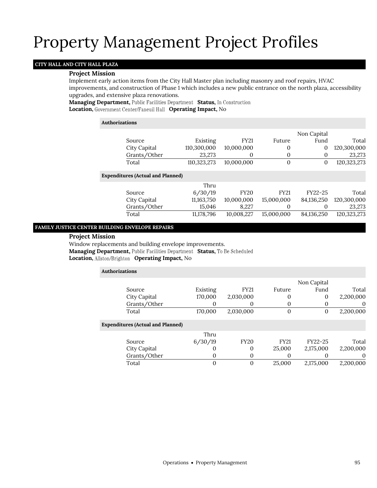## Property Management Project Profiles

## **CITY HALL AND CITY HALL PLAZA**

### **Project Mission**

Implement early action items from the City Hall Master plan including masonry and roof repairs, HVAC improvements, and construction of Phase 1 which includes a new public entrance on the north plaza, accessibility

upgrades, and extensive plaza renovations. **Managing Department,** Public Facilities Department Status, In Construction

**Location, Operating Impact,** No

### **Authorizations**

|                                          |             |             |              | Non Capital |             |
|------------------------------------------|-------------|-------------|--------------|-------------|-------------|
| Source                                   | Existing    | <b>FY21</b> | Future       | Fund        | Total       |
| City Capital                             | 110,300,000 | 10,000,000  | 0            | 0           | 120,300,000 |
| Grants/Other                             | 23,273      | 0           | $\mathbf{0}$ | 0           | 23,273      |
| Total                                    | 110,323,273 | 10,000,000  | $\mathbf{0}$ | 0           | 120,323,273 |
| <b>Expenditures (Actual and Planned)</b> |             |             |              |             |             |
|                                          | Thru        |             |              |             |             |
| Source                                   | 6/30/19     | <b>FY20</b> | <b>FY21</b>  | FY22-25     | Total       |
| City Capital                             | 11,163,750  | 10,000,000  | 15,000,000   | 84,136,250  | 120,300,000 |
| Grants/Other                             | 15,046      | 8.227       | 0            | 0           | 23,273      |
| Total                                    | 11,178,796  | 10,008,227  | 15,000,000   | 84,136,250  | 120,323,273 |

### **FAMILY JUSTICE CENTER BUILDING ENVELOPE REPAIRS**

### **Project Mission**

Window replacements and building envelope improvements. Managing Department, Public Facilities Department Status, To Be Scheduled **Location, Allston/Brighton Operating Impact, No** 

| <b>Authorizations</b>                    |          |              |             |             |           |
|------------------------------------------|----------|--------------|-------------|-------------|-----------|
|                                          |          |              |             | Non Capital |           |
| Source                                   | Existing | <b>FY21</b>  | Future      | Fund        | Total     |
| City Capital                             | 170,000  | 2,030,000    |             | $\Omega$    | 2,200,000 |
| Grants/Other                             | 0        | $\Omega$     |             | O           | $\theta$  |
| Total                                    | 170,000  | 2,030,000    | $\Omega$    | 0           | 2,200,000 |
| <b>Expenditures (Actual and Planned)</b> |          |              |             |             |           |
|                                          | Thru     |              |             |             |           |
| Source                                   | 6/30/19  | <b>FY20</b>  | <b>FY21</b> | FY22-25     | Total     |
| City Capital                             | 0        | 0            | 25,000      | 2,175,000   | 2,200,000 |
| Grants/Other                             | 0        | 0            |             | O           | $\Omega$  |
| Total                                    | 0        | $\mathbf{0}$ | 25,000      | 2,175,000   | 2,200,000 |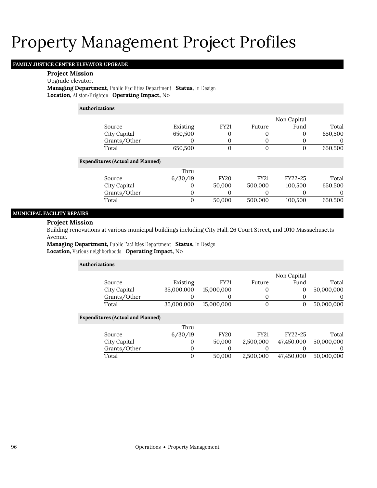# Property Management Project Profiles

## **FAMILY JUSTICE CENTER ELEVATOR UPGRADE**

### **Project Mission**

Upgrade elevator.

**Managing Department, Public Facilities Department Status, In Design Location, Allston/Brighton Operating Impact, No** 

**Authorizations**

|              |          |      |        | Non Capital |         |
|--------------|----------|------|--------|-------------|---------|
| Source       | Existing | FY21 | Future | Fund        | Total   |
| City Capital | 650,500  |      |        |             | 650.500 |
| Grants/Other |          |      |        |             |         |
| Total        | 650,500  |      |        |             | 650.500 |

### **Expenditures (Actual and Planned)**

| Thru    |             |             |         |         |
|---------|-------------|-------------|---------|---------|
| 6/30/19 | <b>FY20</b> | <b>FY21</b> | FY22-25 | Total   |
|         | 50,000      | 500.000     | 100,500 | 650,500 |
|         |             |             |         |         |
|         | 50,000      | 500,000     | 100,500 | 650,500 |
|         |             |             |         |         |

## **MUNICIPAL FACILITY REPAIRS**

### **Project Mission**

Building renovations at various municipal buildings including City Hall, 26 Court Street, and 1010 Massachusetts Avenue.

**Managing Department, Public Facilities Department Status, In Design Location, Various neighborhoods Operating Impact, No** 

| <b>Authorizations</b>                    |            |             |             |             |            |  |  |  |  |
|------------------------------------------|------------|-------------|-------------|-------------|------------|--|--|--|--|
|                                          |            |             |             | Non Capital |            |  |  |  |  |
| Source                                   | Existing   | <b>FY21</b> | Future      | Fund        | Total      |  |  |  |  |
| City Capital                             | 35,000,000 | 15,000,000  | 0           | 0           | 50,000,000 |  |  |  |  |
| Grants/Other                             |            | 0           | 0           | 0           | $\theta$   |  |  |  |  |
| Total                                    | 35,000,000 | 15,000,000  | $\theta$    | 0           | 50,000,000 |  |  |  |  |
| <b>Expenditures (Actual and Planned)</b> |            |             |             |             |            |  |  |  |  |
|                                          | Thru       |             |             |             |            |  |  |  |  |
| Source                                   | 6/30/19    | <b>FY20</b> | <b>FY21</b> | FY22-25     | Total      |  |  |  |  |
| City Capital                             | $_{0}$     | 50,000      | 2,500,000   | 47,450,000  | 50,000,000 |  |  |  |  |
| Grants/Other                             | 0          | 0           | 0           |             | $\theta$   |  |  |  |  |
| Total                                    | 0          | 50,000      | 2.500.000   | 47.450.000  | 50.000.000 |  |  |  |  |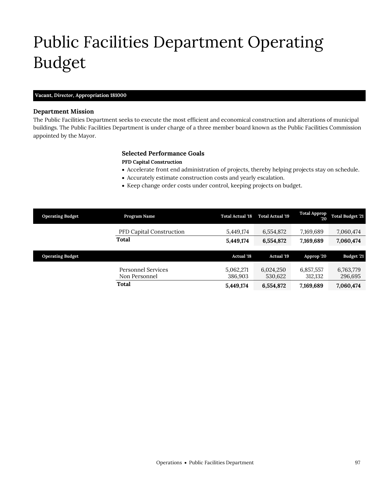# Public Facilities Department Operating Budget

## **Vacant,** *Director,* **Appropriation 181000**

## **Department Mission**

Public Facilities Department

The Public Facilities Department seeks to execute the most efficient and economical construction and alterations of municipal buildings. The Public Facilities Department is under charge of a three member board known as the Public Facilities Commission appointed by the Mayor.

## **Selected Performance Goals**

### **PFD Capital Construction**

- Accelerate front end administration of projects, thereby helping projects stay on schedule.
- Accurately estimate construction costs and yearly escalation.
- Keep change order costs under control, keeping projects on budget.

| <b>Operating Budget</b> | Program Name                        | <b>Total Actual '18</b> | <b>Total Actual '19</b> | <b>Total Approp</b><br>20 | <b>Total Budget '21</b> |
|-------------------------|-------------------------------------|-------------------------|-------------------------|---------------------------|-------------------------|
|                         | <b>PFD Capital Construction</b>     | 5,449,174               | 6,554,872               | 7,169,689                 | 7,060,474               |
|                         | <b>Total</b>                        | 5,449,174               | 6,554,872               | 7,169,689                 | 7,060,474               |
|                         |                                     |                         |                         |                           |                         |
| <b>Operating Budget</b> |                                     | <b>Actual '18</b>       | <b>Actual '19</b>       | Approp '20                | Budget '21              |
|                         | Personnel Services<br>Non Personnel | 5,062,271<br>386,903    | 6,024,250<br>530,622    | 6,857,557<br>312,132      | 6,763,779<br>296,695    |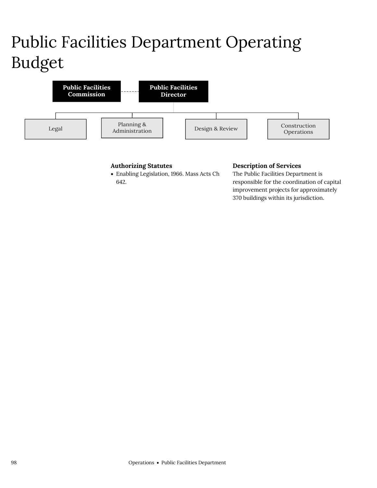# Public Facilities Department Operating Budget



## **Authorizing Statutes**

 Enabling Legislation, 1966. Mass Acts Ch 642.

## **Description of Services**

The Public Facilities Department is responsible for the coordination of capital improvement projects for approximately 370 buildings within its jurisdiction.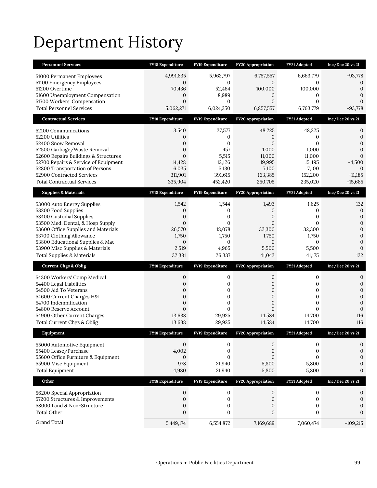# Department History

| <b>Personnel Services</b>                                               | FY18 Expenditure             | FY19 Expenditure                 | <b>FY20 Appropriation</b>        | FY21 Adopted                 | $Inc/Dec$ 20 vs 21               |
|-------------------------------------------------------------------------|------------------------------|----------------------------------|----------------------------------|------------------------------|----------------------------------|
| 51000 Permanent Employees                                               | 4,991,835                    | 5,962,797                        | 6,757,557                        | 6,663,779                    | $-93,778$                        |
| 51100 Emergency Employees                                               | $\overline{0}$               | 0                                | $\mathbf{0}$                     | $\mathbf{0}$                 | $\boldsymbol{0}$                 |
| 51200 Overtime                                                          | 70,436                       | 52,464                           | 100,000                          | 100,000                      | $\mathbf{0}$                     |
| 51600 Unemployment Compensation<br>51700 Workers' Compensation          | 0<br>$\overline{0}$          | 8,989<br>0                       | $\boldsymbol{0}$<br>$\mathbf{0}$ | 0<br>$\mathbf{0}$            | $\mathbf{0}$<br>$\mathbf{0}$     |
| <b>Total Personnel Services</b>                                         | 5,062,271                    | 6,024,250                        | 6,857,557                        | 6,763,779                    | $-93,778$                        |
| <b>Contractual Services</b>                                             | FY18 Expenditure             | FY19 Expenditure                 | FY20 Appropriation               | FY21 Adopted                 | $Inc/Dec$ 20 vs 21               |
|                                                                         |                              |                                  |                                  |                              |                                  |
| 52100 Communications                                                    | 3,540                        | 37,577                           | 48,225                           | 48,225                       | 0                                |
| 52200 Utilities<br>52400 Snow Removal                                   | 0<br>0                       | $\boldsymbol{0}$<br>$\mathbf{0}$ | $\boldsymbol{0}$<br>$\mathbf{0}$ | 0<br>$\mathbf{0}$            | $\boldsymbol{0}$<br>$\mathbf{0}$ |
| 52500 Garbage/Waste Removal                                             | $\overline{0}$               | 457                              | 1,000                            | 1,000                        | $\mathbf{0}$                     |
| 52600 Repairs Buildings & Structures                                    | $\overline{0}$               | 5,515                            | 11,000                           | 11,000                       | $\mathbf{0}$                     |
| 52700 Repairs & Service of Equipment                                    | 14,428                       | 12,126                           | 19,995                           | 15,495                       | $-4,500$                         |
| 52800 Transportation of Persons                                         | 6,035                        | 5,130                            | 7,100                            | 7,100                        | $\theta$                         |
| 52900 Contracted Services                                               | 311,901                      | 391,615                          | 163,385                          | 152,200                      | $-11,185$                        |
| <b>Total Contractual Services</b>                                       | 335,904                      | 452,420                          | 250,705                          | 235,020                      | $-15,685$                        |
| <b>Supplies &amp; Materials</b>                                         | <b>FY18 Expenditure</b>      | FY19 Expenditure                 | <b>FY20 Appropriation</b>        | FY21 Adopted                 | Inc/Dec 20 vs 21                 |
| 53000 Auto Energy Supplies                                              | 1,542                        | 1,544                            | 1,493                            | 1,625                        | 132                              |
| 53200 Food Supplies                                                     | 0                            | 0                                | $\boldsymbol{0}$                 | 0                            | $\boldsymbol{0}$                 |
| 53400 Custodial Supplies                                                | 0                            | $\mathbf{0}$                     | $\boldsymbol{0}$                 | $\mathbf{0}$                 | $\boldsymbol{0}$                 |
| 53500 Med, Dental, & Hosp Supply<br>53600 Office Supplies and Materials | $\overline{0}$<br>26,570     | $\mathbf{0}$<br>18,078           | $\mathbf{0}$<br>32,300           | $\mathbf{0}$<br>32,300       | $\boldsymbol{0}$<br>$\mathbf{0}$ |
| 53700 Clothing Allowance                                                | 1,750                        | 1,750                            | 1,750                            | 1,750                        | $\mathbf{0}$                     |
| 53800 Educational Supplies & Mat                                        | 0                            | 0                                | $\mathbf{0}$                     | $\mathbf{0}$                 | $\boldsymbol{0}$                 |
| 53900 Misc Supplies & Materials                                         | 2,519                        | 4,965                            | 5,500                            | 5,500                        | $\mathbf{0}$                     |
| <b>Total Supplies &amp; Materials</b>                                   | 32,381                       | 26,337                           | 41,043                           | 41,175                       | 132                              |
| <b>Current Chgs &amp; Oblig</b>                                         | <b>FY18 Expenditure</b>      | FY19 Expenditure                 | <b>FY20 Appropriation</b>        | FY21 Adopted                 | $Inc/Dec$ 20 vs 21               |
| 54300 Workers' Comp Medical                                             | $\boldsymbol{0}$             | $\boldsymbol{0}$                 | 0                                | 0                            | $\boldsymbol{0}$                 |
| 54400 Legal Liabilities                                                 | 0                            | 0                                | $\boldsymbol{0}$                 | 0                            | $\boldsymbol{0}$                 |
| 54500 Aid To Veterans                                                   | 0                            | 0                                | $\boldsymbol{0}$                 | 0                            | $\boldsymbol{0}$                 |
| 54600 Current Charges H&I                                               | $\overline{0}$               | $\mathbf{0}$                     | $\mathbf{0}$                     | $\mathbf{0}$                 | $\mathbf{0}$                     |
| 54700 Indemnification<br>54800 Reserve Account                          | 0<br>$\overline{0}$          | 0<br>$\mathbf{0}$                | $\boldsymbol{0}$<br>$\mathbf{0}$ | $\mathbf{0}$<br>$\mathbf{0}$ | $\mathbf{0}$<br>$\mathbf{0}$     |
| 54900 Other Current Charges                                             | 13,638                       | 29,925                           | 14,584                           | 14,700                       | 116                              |
| Total Current Chgs & Oblig                                              | 13,638                       | 29,925                           | 14,584                           | 14,700                       | 116                              |
| Equipment                                                               | <b>FY18 Expenditure</b>      | FY19 Expenditure                 | <b>FY20 Appropriation</b>        | FY21 Adopted                 | $Inc/Dec$ 20 vs 21               |
| 55000 Automotive Equipment                                              | $\mathbf{0}$                 | 0                                | 0                                | 0                            | 0                                |
| 55400 Lease/Purchase                                                    | 4,002                        | $\boldsymbol{0}$                 | 0                                | $\boldsymbol{0}$             | $\boldsymbol{0}$                 |
| 55600 Office Furniture & Equipment                                      | $\mathbf{0}$                 | $\mathbf{0}$                     | $\mathbf{0}$                     | $\mathbf{0}$                 | $\mathbf{0}$                     |
| 55900 Misc Equipment                                                    | 978                          | 21,940                           | 5,800                            | 5,800                        | $\boldsymbol{0}$                 |
| <b>Total Equipment</b>                                                  |                              |                                  |                                  | 5,800                        | $\boldsymbol{0}$                 |
|                                                                         | 4,980                        | 21,940                           | 5,800                            |                              |                                  |
| Other                                                                   | FY18 Expenditure             | FY19 Expenditure                 | FY20 Appropriation               | FY21 Adopted                 | $Inc/Dec$ 20 vs 21               |
|                                                                         |                              |                                  |                                  |                              |                                  |
| 56200 Special Appropriation                                             | $\mathbf{0}$                 | $\mathbf 0$                      | $\mathbf{0}$                     | $\boldsymbol{0}$             | 0                                |
| 57200 Structures & Improvements<br>58000 Land & Non-Structure           | $\mathbf{0}$<br>$\mathbf{0}$ | $\boldsymbol{0}$<br>0            | 0<br>$\boldsymbol{0}$            | 0<br>$\boldsymbol{0}$        | $\boldsymbol{0}$<br>$\mathbf{0}$ |
| <b>Total Other</b>                                                      | $\boldsymbol{0}$             | 0                                | $\boldsymbol{0}$                 | $\boldsymbol{0}$             | $\mathbf{0}$                     |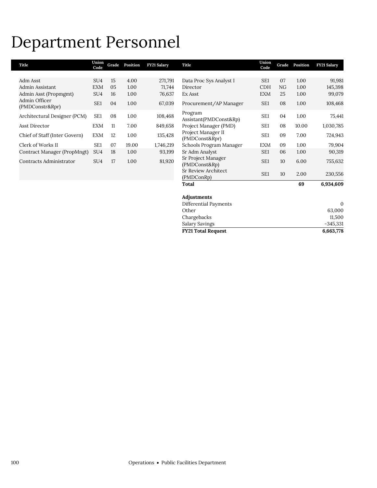## Department Personnel

| Title                            | Union<br>Code   | Grade | Position | FY21 Salary | Title                               | Union<br>Code   | Grade | Position | <b>FY21 Salary</b> |
|----------------------------------|-----------------|-------|----------|-------------|-------------------------------------|-----------------|-------|----------|--------------------|
|                                  |                 |       |          |             |                                     |                 |       |          |                    |
| Adm Asst                         | SU <sub>4</sub> | 15    | 4.00     | 271,791     | Data Proc Sys Analyst I             | SE1             | 07    | 1.00     | 91,981             |
| Admin Assistant                  | <b>EXM</b>      | 05    | 1.00     | 71,744      | Director                            | <b>CDH</b>      | NG    | 1.00     | 145,398            |
| Admin Asst (Propmgmt)            | SU <sub>4</sub> | 16    | 1.00     | 76,637      | Ex Asst                             | <b>EXM</b>      | 25    | 1.00     | 99,079             |
| Admin Officer<br>(PMDConstr&Rpr) | SE <sub>1</sub> | 04    | 1.00     | 67,039      | Procurement/AP Manager              | SE <sub>1</sub> | 08    | 1.00     | 108,468            |
| Architectural Designer (PCM)     | SE <sub>1</sub> | 08    | 1.00     | 108,468     | Program<br>Assistant(PMDConst&Rp)   | SE <sub>1</sub> | 04    | 1.00     | 75,441             |
| Asst Director                    | <b>EXM</b>      | 11    | 7.00     | 849,658     | Project Manager (PMD)               | SE <sub>1</sub> | 08    | 10.00    | 1,030,785          |
|                                  |                 |       |          |             | Project Manager II                  |                 |       |          |                    |
| Chief of Staff (Inter Govern)    | <b>EXM</b>      | 12    | 1.00     | 135,428     | (PMDConst&Rpr)                      | SE <sub>1</sub> | 09    | 7.00     | 724,943            |
| Clerk of Works II                | SE <sub>1</sub> | 07    | 19.00    | 1,746,219   | Schools Program Manager             | <b>EXM</b>      | 09    | 1.00     | 79,904             |
| Contract Manager (PropMngt)      | SU <sub>4</sub> | 18    | 1.00     | 93,199      | Sr Adm Analyst                      | SE <sub>1</sub> | 06    | 1.00     | 90,319             |
| Contracts Administrator          | SU <sub>4</sub> | 17    | 1.00     | 81,920      | Sr Project Manager<br>(PMDConst&Rp) | SE <sub>1</sub> | 10    | 6.00     | 755,632            |
|                                  |                 |       |          |             | <b>Sr Review Architect</b>          | SE <sub>1</sub> | 10    | 2.00     | 230,556            |
|                                  |                 |       |          |             | (PMDConRp)                          |                 |       |          |                    |
|                                  |                 |       |          |             | Total                               |                 |       | 69       | 6,934,609          |
|                                  |                 |       |          |             |                                     |                 |       |          |                    |
|                                  |                 |       |          |             | Adjustments                         |                 |       |          |                    |
|                                  |                 |       |          |             | Differential Payments               |                 |       |          | $\mathbf{0}$       |
|                                  |                 |       |          |             | Other                               |                 |       |          | 63,000             |
|                                  |                 |       |          |             | Chargebacks                         |                 |       |          | 11,500             |

**FY21 Total Request 6,663,778**

Chargebacks 11,500<br>
Salary Savings -345,331 Salary Savings<br>
FY21 Total Request<br>
FY21 Total Request<br>
6,663,778